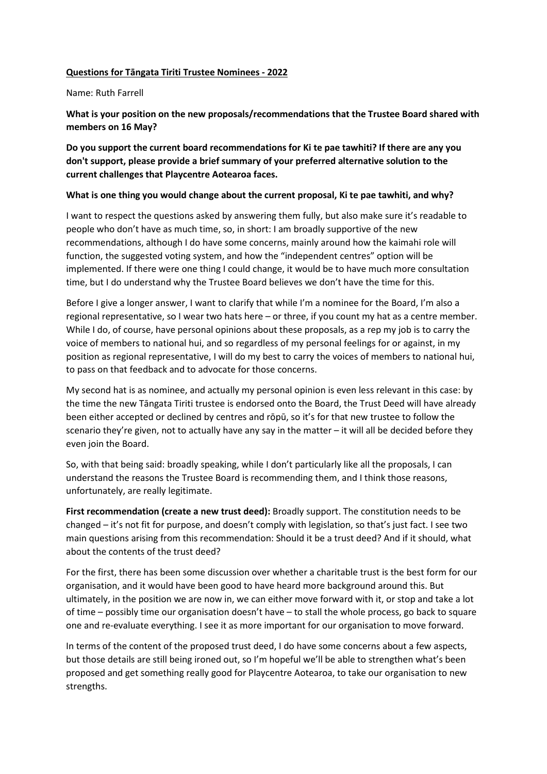## **Questions for Tāngata Tiriti Trustee Nominees - 2022**

## Name: Ruth Farrell

**What is your position on the new proposals/recommendations that the Trustee Board shared with members on 16 May?**

**Do you support the current board recommendations for Ki te pae tawhiti? If there are any you don't support, please provide a brief summary of your preferred alternative solution to the current challenges that Playcentre Aotearoa faces.**

## **What is one thing you would change about the current proposal, Ki te pae tawhiti, and why?**

I want to respect the questions asked by answering them fully, but also make sure it's readable to people who don't have as much time, so, in short: I am broadly supportive of the new recommendations, although I do have some concerns, mainly around how the kaimahi role will function, the suggested voting system, and how the "independent centres" option will be implemented. If there were one thing I could change, it would be to have much more consultation time, but I do understand why the Trustee Board believes we don't have the time for this.

Before I give a longer answer, I want to clarify that while I'm a nominee for the Board, I'm also a regional representative, so I wear two hats here – or three, if you count my hat as a centre member. While I do, of course, have personal opinions about these proposals, as a rep my job is to carry the voice of members to national hui, and so regardless of my personal feelings for or against, in my position as regional representative, I will do my best to carry the voices of members to national hui, to pass on that feedback and to advocate for those concerns.

My second hat is as nominee, and actually my personal opinion is even less relevant in this case: by the time the new Tāngata Tiriti trustee is endorsed onto the Board, the Trust Deed will have already been either accepted or declined by centres and rōpū, so it's for that new trustee to follow the scenario they're given, not to actually have any say in the matter – it will all be decided before they even join the Board.

So, with that being said: broadly speaking, while I don't particularly like all the proposals, I can understand the reasons the Trustee Board is recommending them, and I think those reasons, unfortunately, are really legitimate.

**First recommendation (create a new trust deed):** Broadly support. The constitution needs to be changed – it's not fit for purpose, and doesn't comply with legislation, so that's just fact. I see two main questions arising from this recommendation: Should it be a trust deed? And if it should, what about the contents of the trust deed?

For the first, there has been some discussion over whether a charitable trust is the best form for our organisation, and it would have been good to have heard more background around this. But ultimately, in the position we are now in, we can either move forward with it, or stop and take a lot of time – possibly time our organisation doesn't have – to stall the whole process, go back to square one and re-evaluate everything. I see it as more important for our organisation to move forward.

In terms of the content of the proposed trust deed, I do have some concerns about a few aspects, but those details are still being ironed out, so I'm hopeful we'll be able to strengthen what's been proposed and get something really good for Playcentre Aotearoa, to take our organisation to new strengths.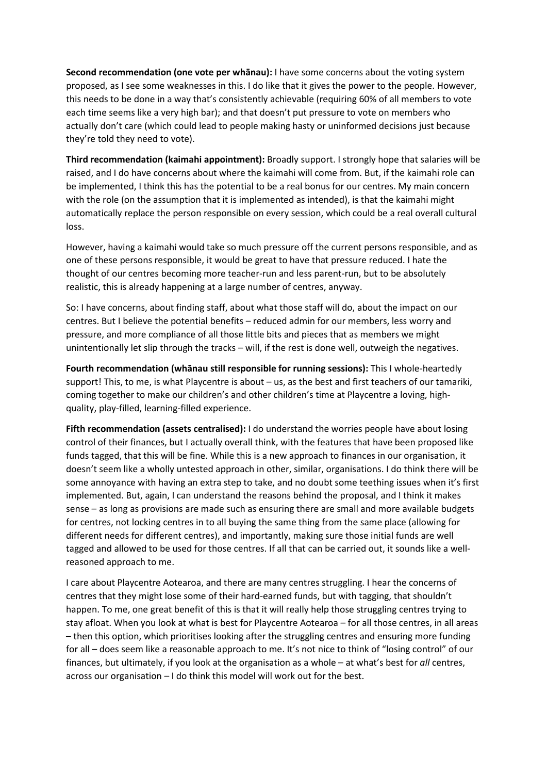**Second recommendation (one vote per whānau):** I have some concerns about the voting system proposed, as I see some weaknesses in this. I do like that it gives the power to the people. However, this needs to be done in a way that's consistently achievable (requiring 60% of all members to vote each time seems like a very high bar); and that doesn't put pressure to vote on members who actually don't care (which could lead to people making hasty or uninformed decisions just because they're told they need to vote).

**Third recommendation (kaimahi appointment):** Broadly support. I strongly hope that salaries will be raised, and I do have concerns about where the kaimahi will come from. But, if the kaimahi role can be implemented, I think this has the potential to be a real bonus for our centres. My main concern with the role (on the assumption that it is implemented as intended), is that the kaimahi might automatically replace the person responsible on every session, which could be a real overall cultural loss.

However, having a kaimahi would take so much pressure off the current persons responsible, and as one of these persons responsible, it would be great to have that pressure reduced. I hate the thought of our centres becoming more teacher-run and less parent-run, but to be absolutely realistic, this is already happening at a large number of centres, anyway.

So: I have concerns, about finding staff, about what those staff will do, about the impact on our centres. But I believe the potential benefits – reduced admin for our members, less worry and pressure, and more compliance of all those little bits and pieces that as members we might unintentionally let slip through the tracks – will, if the rest is done well, outweigh the negatives.

**Fourth recommendation (whānau still responsible for running sessions):** This I whole-heartedly support! This, to me, is what Playcentre is about – us, as the best and first teachers of our tamariki, coming together to make our children's and other children's time at Playcentre a loving, highquality, play-filled, learning-filled experience.

**Fifth recommendation (assets centralised):** I do understand the worries people have about losing control of their finances, but I actually overall think, with the features that have been proposed like funds tagged, that this will be fine. While this is a new approach to finances in our organisation, it doesn't seem like a wholly untested approach in other, similar, organisations. I do think there will be some annoyance with having an extra step to take, and no doubt some teething issues when it's first implemented. But, again, I can understand the reasons behind the proposal, and I think it makes sense – as long as provisions are made such as ensuring there are small and more available budgets for centres, not locking centres in to all buying the same thing from the same place (allowing for different needs for different centres), and importantly, making sure those initial funds are well tagged and allowed to be used for those centres. If all that can be carried out, it sounds like a wellreasoned approach to me.

I care about Playcentre Aotearoa, and there are many centres struggling. I hear the concerns of centres that they might lose some of their hard-earned funds, but with tagging, that shouldn't happen. To me, one great benefit of this is that it will really help those struggling centres trying to stay afloat. When you look at what is best for Playcentre Aotearoa – for all those centres, in all areas – then this option, which prioritises looking after the struggling centres and ensuring more funding for all – does seem like a reasonable approach to me. It's not nice to think of "losing control" of our finances, but ultimately, if you look at the organisation as a whole – at what's best for *all* centres, across our organisation – I do think this model will work out for the best.